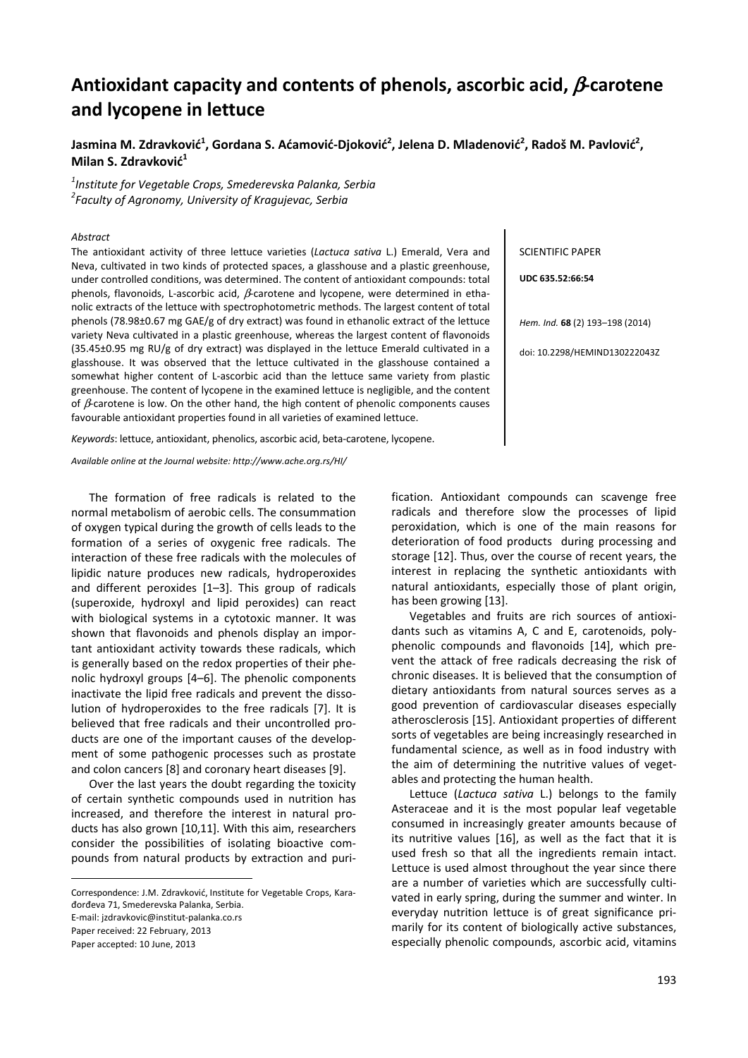# **Antioxidant capacity and contents of phenols, ascorbic acid,** β**-carotene and lycopene in lettuce**

# Jasmina M. Zdravković $^1$ , Gordana S. Aćamović-Djoković $^2$ , Jelena D. Mladenović $^2$ , Radoš M. Pavlović $^2$ , **Milan S. Zdravković 1**

*1 Institute for Vegetable Crops, Smederevska Palanka, Serbia 2 Faculty of Agronomy, University of Kragujevac, Serbia* 

#### *Abstract*

The antioxidant activity of three lettuce varieties (*Lactuca sativa* L.) Emerald, Vera and Neva, cultivated in two kinds of protected spaces, a glasshouse and a plastic greenhouse, under controlled conditions, was determined. The content of antioxidant compounds: total phenols, flavonoids, L-ascorbic acid,  $\beta$ -carotene and lycopene, were determined in ethanolic extracts of the lettuce with spectrophotometric methods. The largest content of total phenols (78.98±0.67 mg GAE/g of dry extract) was found in ethanolic extract of the lettuce variety Neva cultivated in a plastic greenhouse, whereas the largest content of flavonoids  $(35.45\pm0.95$  mg RU/g of dry extract) was displayed in the lettuce Emerald cultivated in a glasshouse. It was observed that the lettuce cultivated in the glasshouse contained a somewhat higher content of L-ascorbic acid than the lettuce same variety from plastic greenhouse. The content of lycopene in the examined lettuce is negligible, and the content of  $\beta$ -carotene is low. On the other hand, the high content of phenolic components causes favourable antioxidant properties found in all varieties of examined lettuce.

*Keywords*: lettuce, antioxidant, phenolics, ascorbic acid, beta-carotene, lycopene.

*Available online at the Journal website: http://www.ache.org.rs/HI/*

The formation of free radicals is related to the normal metabolism of aerobic cells. The consummation of oxygen typical during the growth of cells leads to the formation of a series of oxygenic free radicals. The interaction of these free radicals with the molecules of lipidic nature produces new radicals, hydroperoxides and different peroxides [1–3]. This group of radicals (superoxide, hydroxyl and lipid peroxides) can react with biological systems in a cytotoxic manner. It was shown that flavonoids and phenols display an important antioxidant activity towards these radicals, which is generally based on the redox properties of their phenolic hydroxyl groups [4–6]. The phenolic components inactivate the lipid free radicals and prevent the dissolution of hydroperoxides to the free radicals [7]. It is believed that free radicals and their uncontrolled products are one of the important causes of the development of some pathogenic processes such as prostate and colon cancers [8] and coronary heart diseases [9].

Over the last years the doubt regarding the toxicity of certain synthetic compounds used in nutrition has increased, and therefore the interest in natural products has also grown [10,11]. With this aim, researchers consider the possibilities of isolating bioactive compounds from natural products by extraction and puri-

Correspondence: J.M. Zdravković, Institute for Vegetable Crops, Karađorđeva 71, Smederevska Palanka, Serbia. E-mail: jzdravkovic@institut-palanka.co.rs

Paper received: 22 February, 2013 Paper accepted: 10 June, 2013

 $\overline{a}$ 

SCIENTIFIC PAPER

**UDC 635.52:66:54** 

*Hem. Ind.* **68** (2) 193–198 (2014)

doi: 10.2298/HEMIND130222043Z

fication. Antioxidant compounds can scavenge free radicals and therefore slow the processes of lipid peroxidation, which is one of the main reasons for deterioration of food products during processing and storage [12]. Thus, over the course of recent years, the interest in replacing the synthetic antioxidants with natural antioxidants, especially those of plant origin, has been growing [13].

Vegetables and fruits are rich sources of antioxidants such as vitamins A, C and E, carotenoids, polyphenolic compounds and flavonoids [14], which prevent the attack of free radicals decreasing the risk of chronic diseases. It is believed that the consumption of dietary antioxidants from natural sources serves as a good prevention of cardiovascular diseases especially atherosclerosis [15]. Antioxidant properties of different sorts of vegetables are being increasingly researched in fundamental science, as well as in food industry with the aim of determining the nutritive values of vegetables and protecting the human health.

Lettuce (*Lactuca sativa* L.) belongs to the family Asteraceae and it is the most popular leaf vegetable consumed in increasingly greater amounts because of its nutritive values [16], as well as the fact that it is used fresh so that all the ingredients remain intact. Lettuce is used almost throughout the year since there are a number of varieties which are successfully cultivated in early spring, during the summer and winter. In everyday nutrition lettuce is of great significance primarily for its content of biologically active substances, especially phenolic compounds, ascorbic acid, vitamins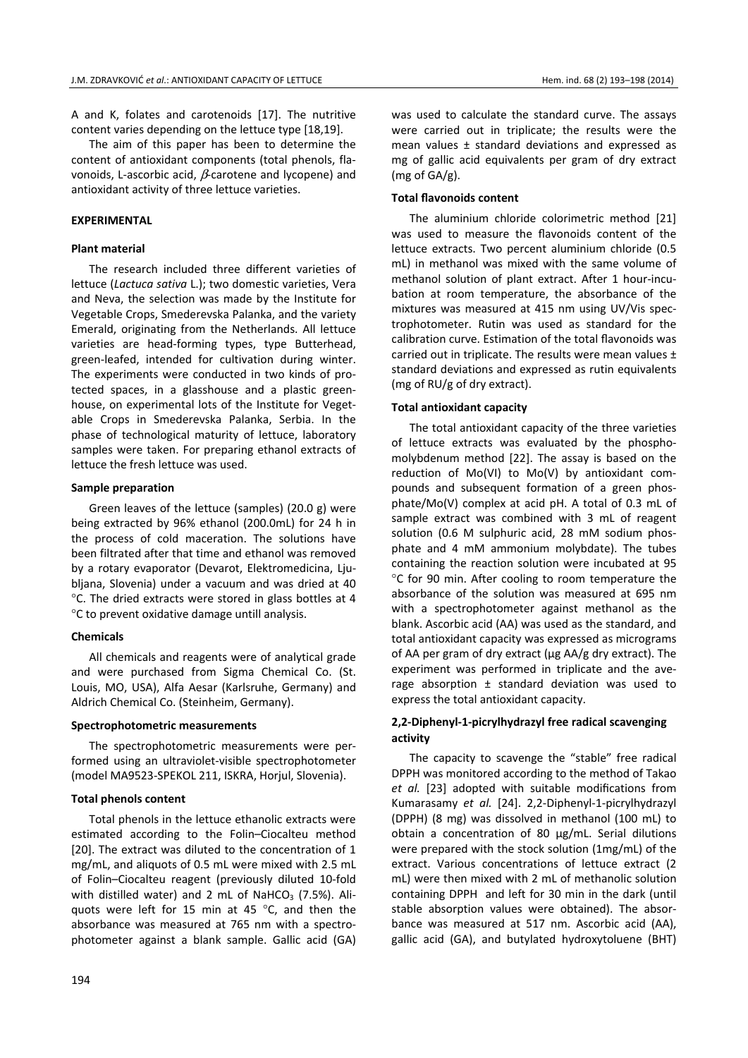A and K, folates and carotenoids [17]. The nutritive content varies depending on the lettuce type [18,19].

The aim of this paper has been to determine the content of antioxidant components (total phenols, flavonoids, L-ascorbic acid,  $β$ -carotene and lycopene) and antioxidant activity of three lettuce varieties.

## **EXPERIMENTAL**

#### **Plant material**

The research included three different varieties of lettuce (*Lactuca sativa* L.); two domestic varieties, Vera and Neva, the selection was made by the Institute for Vegetable Crops, Smederevska Palanka, and the variety Emerald, originating from the Netherlands. All lettuce varieties are head-forming types, type Butterhead, green-leafed, intended for cultivation during winter. The experiments were conducted in two kinds of protected spaces, in a glasshouse and a plastic greenhouse, on experimental lots of the Institute for Vegetable Crops in Smederevska Palanka, Serbia. In the phase of technological maturity of lettuce, laboratory samples were taken. For preparing ethanol extracts of lettuce the fresh lettuce was used.

## **Sample preparation**

Green leaves of the lettuce (samples) (20.0 g) were being extracted by 96% ethanol (200.0mL) for 24 h in the process of cold maceration. The solutions have been filtrated after that time and ethanol was removed by a rotary evaporator (Devarot, Elektromedicina, Ljubljana, Slovenia) under a vacuum and was dried at 40 °C. The dried extracts were stored in glass bottles at 4 °C to prevent oxidative damage untill analysis.

#### **Chemicals**

All chemicals and reagents were of analytical grade and were purchased from Sigma Chemical Co. (St. Louis, MO, USA), Alfa Aesar (Karlsruhe, Germany) and Aldrich Chemical Co. (Steinheim, Germany).

#### **Spectrophotometric measurements**

The spectrophotometric measurements were performed using an ultraviolet-visible spectrophotometer (model MA9523-SPEKOL 211, ISKRA, Horjul, Slovenia).

#### **Total phenols content**

Total phenols in the lettuce ethanolic extracts were estimated according to the Folin–Ciocalteu method [20]. The extract was diluted to the concentration of 1 mg/mL, and aliquots of 0.5 mL were mixed with 2.5 mL of Folin–Ciocalteu reagent (previously diluted 10-fold with distilled water) and 2 mL of NaHCO<sub>3</sub> (7.5%). Aliquots were left for 15 min at 45 °C, and then the absorbance was measured at 765 nm with a spectrophotometer against a blank sample. Gallic acid (GA) was used to calculate the standard curve. The assays were carried out in triplicate; the results were the mean values ± standard deviations and expressed as mg of gallic acid equivalents per gram of dry extract (mg of GA/g).

## **Total flavonoids content**

The aluminium chloride colorimetric method [21] was used to measure the flavonoids content of the lettuce extracts. Two percent aluminium chloride (0.5 mL) in methanol was mixed with the same volume of methanol solution of plant extract. After 1 hour-incubation at room temperature, the absorbance of the mixtures was measured at 415 nm using UV/Vis spectrophotometer. Rutin was used as standard for the calibration curve. Estimation of the total flavonoids was carried out in triplicate. The results were mean values ± standard deviations and expressed as rutin equivalents (mg of RU/g of dry extract).

## **Total antioxidant capacity**

The total antioxidant capacity of the three varieties of lettuce extracts was evaluated by the phosphomolybdenum method [22]. The assay is based on the reduction of Mo(VI) to Mo(V) by antioxidant compounds and subsequent formation of a green phosphate/Mo(V) complex at acid pH. A total of 0.3 mL of sample extract was combined with 3 mL of reagent solution (0.6 M sulphuric acid, 28 mM sodium phosphate and 4 mM ammonium molybdate). The tubes containing the reaction solution were incubated at 95 °C for 90 min. After cooling to room temperature the absorbance of the solution was measured at 695 nm with a spectrophotometer against methanol as the blank. Ascorbic acid (AA) was used as the standard, and total antioxidant capacity was expressed as micrograms of AA per gram of dry extract (μg AA/g dry extract). The experiment was performed in triplicate and the average absorption ± standard deviation was used to express the total antioxidant capacity.

## **2,2-Diphenyl-1-picrylhydrazyl free radical scavenging activity**

The capacity to scavenge the "stable" free radical DPPH was monitored according to the method of Takao *et al.* [23] adopted with suitable modifications from Kumarasamy *et al.* [24]. 2,2-Diphenyl-1-picrylhydrazyl (DPPH) (8 mg) was dissolved in methanol (100 mL) to obtain a concentration of 80 μg/mL. Serial dilutions were prepared with the stock solution (1mg/mL) of the extract. Various concentrations of lettuce extract (2 mL) were then mixed with 2 mL of methanolic solution containing DPPH and left for 30 min in the dark (until stable absorption values were obtained). The absorbance was measured at 517 nm. Ascorbic acid (AA), gallic acid (GA), and butylated hydroxytoluene (BHT)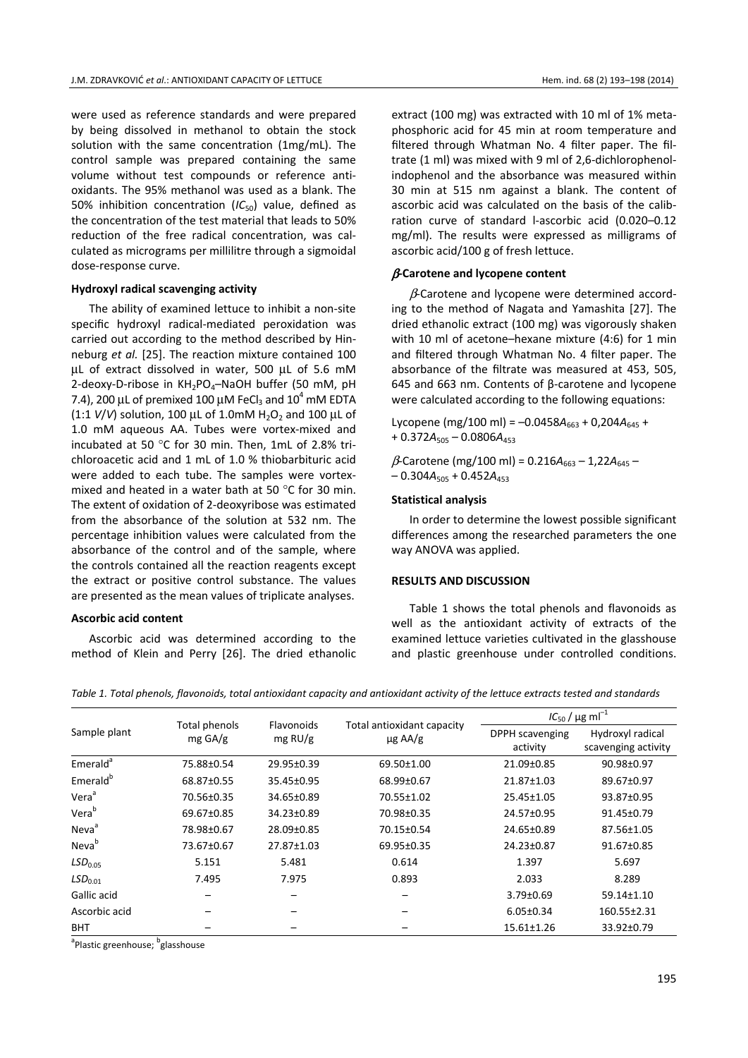were used as reference standards and were prepared by being dissolved in methanol to obtain the stock solution with the same concentration (1mg/mL). The control sample was prepared containing the same volume without test compounds or reference antioxidants. The 95% methanol was used as a blank. The 50% inhibition concentration  $(IC_{50})$  value, defined as the concentration of the test material that leads to 50% reduction of the free radical concentration, was calculated as micrograms per millilitre through a sigmoidal dose-response curve.

## **Hydroxyl radical scavenging activity**

The ability of examined lettuce to inhibit a non-site specific hydroxyl radical-mediated peroxidation was carried out according to the method described by Hinneburg *et al.* [25]. The reaction mixture contained 100 μL of extract dissolved in water, 500 μL of 5.6 mM 2-deoxy-D-ribose in  $KH_{2}PO_{4}$ -NaOH buffer (50 mM, pH 7.4), 200 μL of premixed 100 μM FeCl $_3$  and 10<sup>4</sup> mM EDTA  $(1:1 V/V)$  solution, 100  $\mu$ L of 1.0mM H<sub>2</sub>O<sub>2</sub> and 100  $\mu$ L of 1.0 mM aqueous AA. Tubes were vortex-mixed and incubated at 50 °C for 30 min. Then, 1mL of 2.8% trichloroacetic acid and 1 mL of 1.0 % thiobarbituric acid were added to each tube. The samples were vortexmixed and heated in a water bath at 50 °C for 30 min. The extent of oxidation of 2-deoxyribose was estimated from the absorbance of the solution at 532 nm. The percentage inhibition values were calculated from the absorbance of the control and of the sample, where the controls contained all the reaction reagents except the extract or positive control substance. The values are presented as the mean values of triplicate analyses.

#### **Ascorbic acid content**

Ascorbic acid was determined according to the method of Klein and Perry [26]. The dried ethanolic extract (100 mg) was extracted with 10 ml of 1% metaphosphoric acid for 45 min at room temperature and filtered through Whatman No. 4 filter paper. The filtrate (1 ml) was mixed with 9 ml of 2,6-dichlorophenolindophenol and the absorbance was measured within 30 min at 515 nm against a blank. The content of ascorbic acid was calculated on the basis of the calibration curve of standard l-ascorbic acid (0.020–0.12 mg/ml). The results were expressed as milligrams of ascorbic acid/100 g of fresh lettuce.

#### β**-Carotene and lycopene content**

 $\beta$ -Carotene and lycopene were determined according to the method of Nagata and Yamashita [27]. The dried ethanolic extract (100 mg) was vigorously shaken with 10 ml of acetone–hexane mixture (4:6) for 1 min and filtered through Whatman No. 4 filter paper. The absorbance of the filtrate was measured at 453, 505, 645 and 663 nm. Contents of β-carotene and lycopene were calculated according to the following equations:

Lycopene (mg/100 ml) =  $-0.0458A_{663} + 0.204A_{645} +$  $+ 0.372A_{505} - 0.0806A_{453}$ 

 $β$ -Carotene (mg/100 ml) = 0.216A<sub>663</sub> – 1,22A<sub>645</sub> –  $-0.304A_{505} + 0.452A_{453}$ 

## **Statistical analysis**

In order to determine the lowest possible significant differences among the researched parameters the one way ANOVA was applied.

#### **RESULTS AND DISCUSSION**

Table 1 shows the total phenols and flavonoids as well as the antioxidant activity of extracts of the examined lettuce varieties cultivated in the glasshouse and plastic greenhouse under controlled conditions.

*Table 1. Total phenols, flavonoids, total antioxidant capacity and antioxidant activity of the lettuce extracts tested and standards* 

| Sample plant         | Total phenols<br>$mg \frac{G}{g}$ | Flavonoids<br>$mg$ RU/g | Total antioxidant capacity<br>$\mu$ g AA/g | $IC_{50} / \mu g \text{ ml}^{-1}$ |                                         |
|----------------------|-----------------------------------|-------------------------|--------------------------------------------|-----------------------------------|-----------------------------------------|
|                      |                                   |                         |                                            | DPPH scavenging<br>activity       | Hydroxyl radical<br>scavenging activity |
| Emerald <sup>a</sup> | 75.88±0.54                        | 29.95±0.39              | 69.50±1.00                                 | 21.09±0.85                        | 90.98±0.97                              |
| Emerald <sup>b</sup> | 68.87±0.55                        | 35.45±0.95              | 68.99±0.67                                 | 21.87±1.03                        | 89.67±0.97                              |
| Vera <sup>a</sup>    | 70.56±0.35                        | 34.65±0.89              | 70.55±1.02                                 | 25.45±1.05                        | 93.87±0.95                              |
| Vera <sup>b</sup>    | 69.67±0.85                        | 34.23±0.89              | 70.98±0.35                                 | 24.57±0.95                        | 91.45±0.79                              |
| Neva <sup>a</sup>    | 78.98±0.67                        | 28.09±0.85              | 70.15±0.54                                 | 24.65±0.89                        | 87.56±1.05                              |
| Neva <sup>b</sup>    | 73.67±0.67                        | 27.87±1.03              | 69.95±0.35                                 | 24.23±0.87                        | 91.67±0.85                              |
| LSD <sub>0.05</sub>  | 5.151                             | 5.481                   | 0.614                                      | 1.397                             | 5.697                                   |
| LSD <sub>0.01</sub>  | 7.495                             | 7.975                   | 0.893                                      | 2.033                             | 8.289                                   |
| Gallic acid          |                                   |                         |                                            | $3.79 \pm 0.69$                   | 59.14±1.10                              |
| Ascorbic acid        |                                   |                         |                                            | $6.05 \pm 0.34$                   | 160.55±2.31                             |
| <b>BHT</b>           |                                   |                         |                                            | $15.61 \pm 1.26$                  | 33.92±0.79                              |

<sup>a</sup>Plastic greenhouse; <sup>b</sup>glasshouse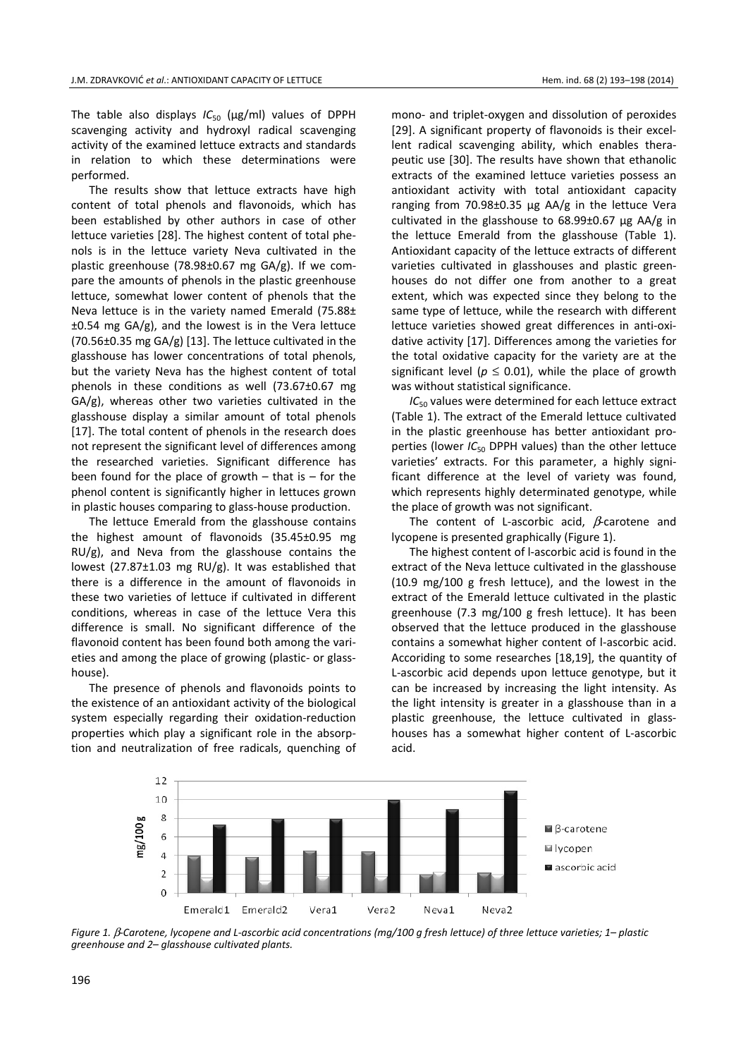The table also displays *IC*<sub>50</sub> (µg/ml) values of DPPH scavenging activity and hydroxyl radical scavenging activity of the examined lettuce extracts and standards in relation to which these determinations were performed.

The results show that lettuce extracts have high content of total phenols and flavonoids, which has been established by other authors in case of other lettuce varieties [28]. The highest content of total phenols is in the lettuce variety Neva cultivated in the plastic greenhouse (78.98±0.67 mg GA/g). If we compare the amounts of phenols in the plastic greenhouse lettuce, somewhat lower content of phenols that the Neva lettuce is in the variety named Emerald (75.88± ±0.54 mg GA/g), and the lowest is in the Vera lettuce (70.56±0.35 mg GA/g) [13]. The lettuce cultivated in the glasshouse has lower concentrations of total phenols, but the variety Neva has the highest content of total phenols in these conditions as well (73.67±0.67 mg GA/g), whereas other two varieties cultivated in the glasshouse display a similar amount of total phenols [17]. The total content of phenols in the research does not represent the significant level of differences among the researched varieties. Significant difference has been found for the place of growth  $-$  that is  $-$  for the phenol content is significantly higher in lettuces grown in plastic houses comparing to glass-house production.

The lettuce Emerald from the glasshouse contains the highest amount of flavonoids (35.45±0.95 mg RU/g), and Neva from the glasshouse contains the lowest (27.87±1.03 mg RU/g). It was established that there is a difference in the amount of flavonoids in these two varieties of lettuce if cultivated in different conditions, whereas in case of the lettuce Vera this difference is small. No significant difference of the flavonoid content has been found both among the varieties and among the place of growing (plastic- or glasshouse).

The presence of phenols and flavonoids points to the existence of an antioxidant activity of the biological system especially regarding their oxidation-reduction properties which play a significant role in the absorption and neutralization of free radicals, quenching of mono- and triplet-oxygen and dissolution of peroxides [29]. A significant property of flavonoids is their excellent radical scavenging ability, which enables therapeutic use [30]. The results have shown that ethanolic extracts of the examined lettuce varieties possess an antioxidant activity with total antioxidant capacity ranging from 70.98±0.35 μg AA/g in the lettuce Vera cultivated in the glasshouse to 68.99±0.67 μg AA/g in the lettuce Emerald from the glasshouse (Table 1). Antioxidant capacity of the lettuce extracts of different varieties cultivated in glasshouses and plastic greenhouses do not differ one from another to a great extent, which was expected since they belong to the same type of lettuce, while the research with different lettuce varieties showed great differences in anti-oxidative activity [17]. Differences among the varieties for the total oxidative capacity for the variety are at the significant level ( $p \le 0.01$ ), while the place of growth was without statistical significance.

*IC*<sub>50</sub> values were determined for each lettuce extract (Table 1). The extract of the Emerald lettuce cultivated in the plastic greenhouse has better antioxidant properties (lower *IC*<sub>50</sub> DPPH values) than the other lettuce varieties' extracts. For this parameter, a highly significant difference at the level of variety was found, which represents highly determinated genotype, while the place of growth was not significant.

The content of L-ascorbic acid,  $\beta$ -carotene and lycopene is presented graphically (Figure 1).

The highest content of l-ascorbic acid is found in the extract of the Neva lettuce cultivated in the glasshouse (10.9 mg/100 g fresh lettuce), and the lowest in the extract of the Emerald lettuce cultivated in the plastic greenhouse (7.3 mg/100 g fresh lettuce). It has been observed that the lettuce produced in the glasshouse contains a somewhat higher content of l-ascorbic acid. Accoriding to some researches [18,19], the quantity of L-ascorbic acid depends upon lettuce genotype, but it can be increased by increasing the light intensity. As the light intensity is greater in a glasshouse than in a plastic greenhouse, the lettuce cultivated in glasshouses has a somewhat higher content of L-ascorbic acid.



*Figure 1.* β*-Carotene, lycopene and L-ascorbic acid concentrations (mg/100 g fresh lettuce) of three lettuce varieties; 1– plastic greenhouse and 2– glasshouse cultivated plants.*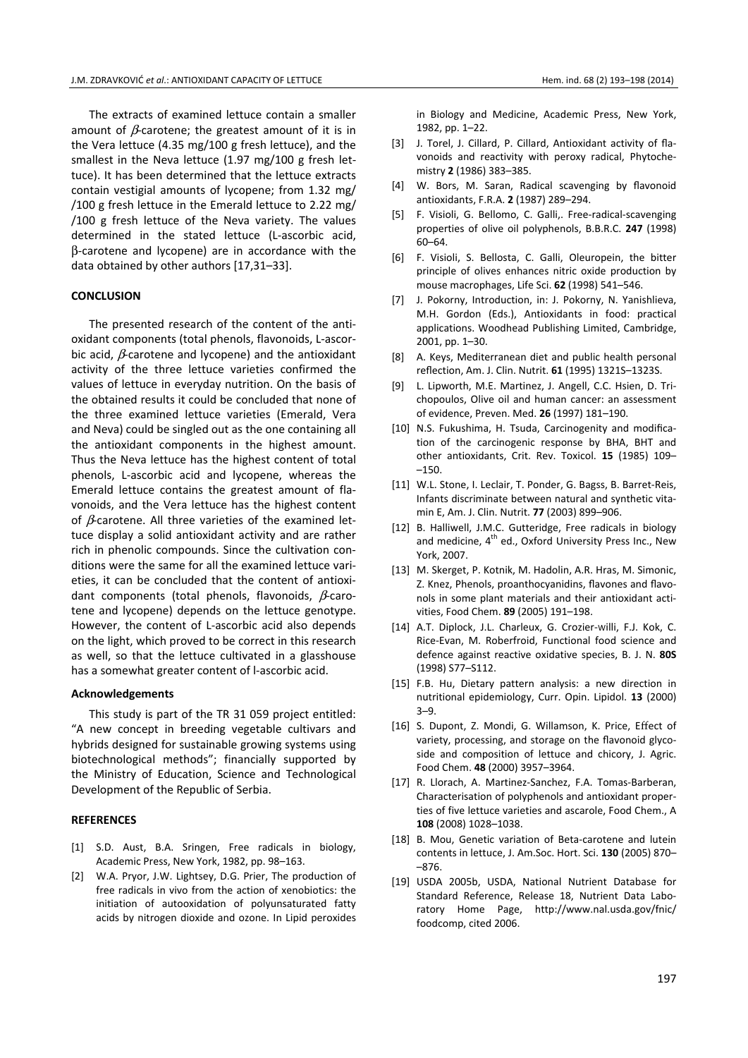The extracts of examined lettuce contain a smaller amount of  $\beta$ -carotene; the greatest amount of it is in the Vera lettuce (4.35 mg/100 g fresh lettuce), and the smallest in the Neva lettuce (1.97 mg/100 g fresh lettuce). It has been determined that the lettuce extracts contain vestigial amounts of lycopene; from 1.32 mg/ /100 g fresh lettuce in the Emerald lettuce to 2.22 mg/ /100 g fresh lettuce of the Neva variety. The values determined in the stated lettuce (L-ascorbic acid, β-carotene and lycopene) are in accordance with the data obtained by other authors [17,31–33].

## **CONCLUSION**

The presented research of the content of the antioxidant components (total phenols, flavonoids, L-ascorbic acid,  $\beta$ -carotene and lycopene) and the antioxidant activity of the three lettuce varieties confirmed the values of lettuce in everyday nutrition. On the basis of the obtained results it could be concluded that none of the three examined lettuce varieties (Emerald, Vera and Neva) could be singled out as the one containing all the antioxidant components in the highest amount. Thus the Neva lettuce has the highest content of total phenols, L-ascorbic acid and lycopene, whereas the Emerald lettuce contains the greatest amount of flavonoids, and the Vera lettuce has the highest content of  $\beta$ -carotene. All three varieties of the examined lettuce display a solid antioxidant activity and are rather rich in phenolic compounds. Since the cultivation conditions were the same for all the examined lettuce varieties, it can be concluded that the content of antioxidant components (total phenols, flavonoids,  $\beta$ -carotene and lycopene) depends on the lettuce genotype. However, the content of L-ascorbic acid also depends on the light, which proved to be correct in this research as well, so that the lettuce cultivated in a glasshouse has a somewhat greater content of l-ascorbic acid.

## **Acknowledgements**

This study is part of the TR 31 059 project entitled: "A new concept in breeding vegetable cultivars and hybrids designed for sustainable growing systems using biotechnological methods"; financially supported by the Ministry of Education, Science and Technological Development of the Republic of Serbia.

#### **REFERENCES**

- [1] S.D. Aust, B.A. Sringen, Free radicals in biology, Academic Press, New York, 1982, pp. 98–163.
- [2] W.A. Pryor, J.W. Lightsey, D.G. Prier, The production of free radicals in vivo from the action of xenobiotics: the initiation of autooxidation of polyunsaturated fatty acids by nitrogen dioxide and ozone. In Lipid peroxides

in Biology and Medicine, Academic Press, New York, 1982, pp. 1–22.

- [3] J. Torel, J. Cillard, P. Cillard, Antioxidant activity of flavonoids and reactivity with peroxy radical, Phytochemistry **2** (1986) 383–385.
- [4] W. Bors, M. Saran, Radical scavenging by flavonoid antioxidants, F.R.A. **2** (1987) 289–294.
- [5] F. Visioli, G. Bellomo, C. Galli,. Free-radical-scavenging properties of olive oil polyphenols, B.B.R.C. **247** (1998) 60–64.
- [6] F. Visioli, S. Bellosta, C. Galli, Oleuropein, the bitter principle of olives enhances nitric oxide production by mouse macrophages, Life Sci. **62** (1998) 541–546.
- [7] J. Pokorny, Introduction, in: J. Pokorny, N. Yanishlieva, M.H. Gordon (Eds.), Antioxidants in food: practical applications. Woodhead Publishing Limited, Cambridge, 2001, pp. 1–30.
- [8] A. Keys, Mediterranean diet and public health personal reflection, Am. J. Clin. Nutrit. **61** (1995) 1321S–1323S.
- [9] L. Lipworth, M.E. Martinez, J. Angell, C.C. Hsien, D. Trichopoulos, Olive oil and human cancer: an assessment of evidence, Preven. Med. **26** (1997) 181–190.
- [10] N.S. Fukushima, H. Tsuda, Carcinogenity and modification of the carcinogenic response by BHA, BHT and other antioxidants, Crit. Rev. Toxicol. **15** (1985) 109– –150.
- [11] W.L. Stone, I. Leclair, T. Ponder, G. Bagss, B. Barret-Reis, Infants discriminate between natural and synthetic vitamin E, Am. J. Clin. Nutrit. **77** (2003) 899–906.
- [12] B. Halliwell, J.M.C. Gutteridge, Free radicals in biology and medicine,  $4^{th}$  ed., Oxford University Press Inc., New York, 2007.
- [13] M. Skerget, P. Kotnik, M. Hadolin, A.R. Hras, M. Simonic, Z. Knez, Phenols, proanthocyanidins, flavones and flavonols in some plant materials and their antioxidant activities, Food Chem. **89** (2005) 191–198.
- [14] A.T. Diplock, J.L. Charleux, G. Crozier-willi, F.J. Kok, C. Rice-Evan, M. Roberfroid, Functional food science and defence against reactive oxidative species, B. J. N. **80S** (1998) S77–S112.
- [15] F.B. Hu, Dietary pattern analysis: a new direction in nutritional epidemiology, Curr. Opin. Lipidol. **13** (2000) 3–9.
- [16] S. Dupont, Z. Mondi, G. Willamson, K. Price, Effect of variety, processing, and storage on the flavonoid glycoside and composition of lettuce and chicory, J. Agric. Food Chem. **48** (2000) 3957–3964.
- [17] R. Llorach, A. Martinez-Sanchez, F.A. Tomas-Barberan, Characterisation of polyphenols and antioxidant properties of five lettuce varieties and ascarole, Food Chem., A **108** (2008) 1028–1038.
- [18] B. Mou, Genetic variation of Beta-carotene and lutein contents in lettuce, J. Am.Soc. Hort. Sci. **130** (2005) 870– –876.
- [19] USDA 2005b, USDA, National Nutrient Database for Standard Reference, Release 18, Nutrient Data Laboratory Home Page, http://www.nal.usda.gov/fnic/ foodcomp, cited 2006.